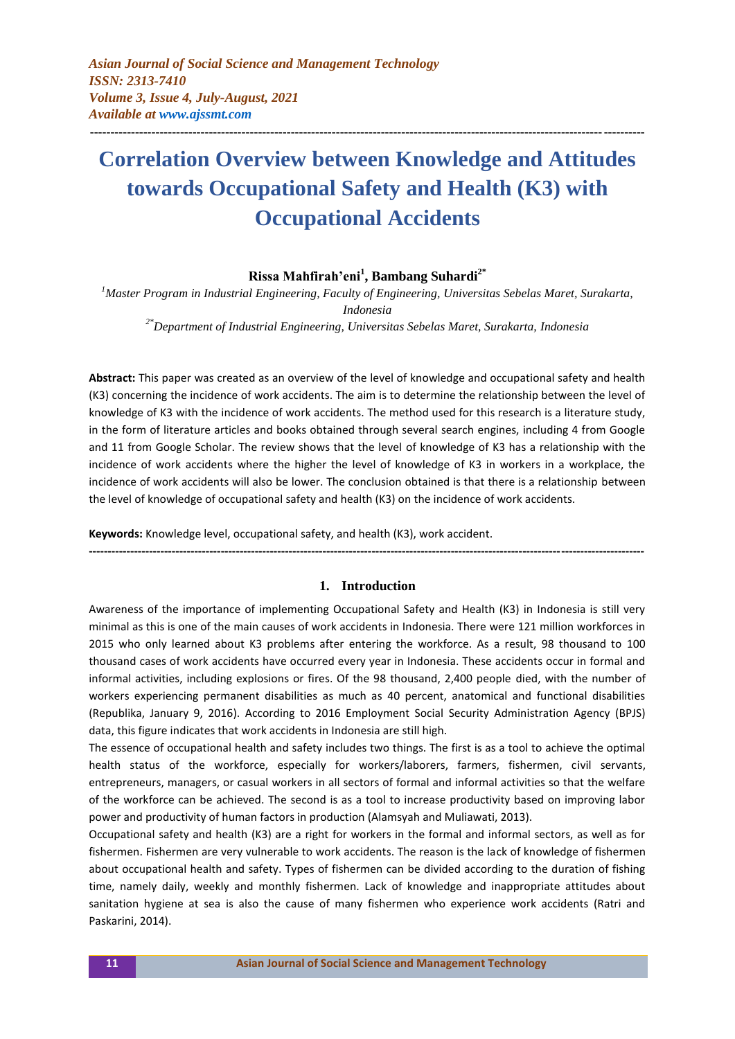*Asian Journal of Social Science and Management Technology ISSN: 2313-7410 Volume 3, Issue 4, July-August, 2021 Available at <www.ajssmt.com>*

# **Correlation Overview between Knowledge and Attitudes towards Occupational Safety and Health (K3) with Occupational Accidents**

**---------------------------------------------------------------------------------------------------------------------------------------**

## **Rissa Mahfirah'eni<sup>1</sup> , Bambang Suhardi2\***

*<sup>1</sup>Master Program in Industrial Engineering, Faculty of Engineering, Universitas Sebelas Maret, Surakarta, Indonesia 2\*Department of Industrial Engineering, Universitas Sebelas Maret, Surakarta, Indonesia*

**Abstract:** This paper was created as an overview of the level of knowledge and occupational safety and health (K3) concerning the incidence of work accidents. The aim is to determine the relationship between the level of knowledge of K3 with the incidence of work accidents. The method used for this research is a literature study, in the form of literature articles and books obtained through several search engines, including 4 from Google and 11 from Google Scholar. The review shows that the level of knowledge of K3 has a relationship with the incidence of work accidents where the higher the level of knowledge of K3 in workers in a workplace, the incidence of work accidents will also be lower. The conclusion obtained is that there is a relationship between the level of knowledge of occupational safety and health (K3) on the incidence of work accidents.

**Keywords:** Knowledge level, occupational safety, and health (K3), work accident.

#### **1. Introduction**

**---------------------------------------------------------------------------------------------------------------------------------------------------**

Awareness of the importance of implementing Occupational Safety and Health (K3) in Indonesia is still very minimal as this is one of the main causes of work accidents in Indonesia. There were 121 million workforces in 2015 who only learned about K3 problems after entering the workforce. As a result, 98 thousand to 100 thousand cases of work accidents have occurred every year in Indonesia. These accidents occur in formal and informal activities, including explosions or fires. Of the 98 thousand, 2,400 people died, with the number of workers experiencing permanent disabilities as much as 40 percent, anatomical and functional disabilities (Republika, January 9, 2016). According to 2016 Employment Social Security Administration Agency (BPJS) data, this figure indicates that work accidents in Indonesia are still high.

The essence of occupational health and safety includes two things. The first is as a tool to achieve the optimal health status of the workforce, especially for workers/laborers, farmers, fishermen, civil servants, entrepreneurs, managers, or casual workers in all sectors of formal and informal activities so that the welfare of the workforce can be achieved. The second is as a tool to increase productivity based on improving labor power and productivity of human factors in production (Alamsyah and Muliawati, 2013).

Occupational safety and health (K3) are a right for workers in the formal and informal sectors, as well as for fishermen. Fishermen are very vulnerable to work accidents. The reason is the lack of knowledge of fishermen about occupational health and safety. Types of fishermen can be divided according to the duration of fishing time, namely daily, weekly and monthly fishermen. Lack of knowledge and inappropriate attitudes about sanitation hygiene at sea is also the cause of many fishermen who experience work accidents (Ratri and Paskarini, 2014).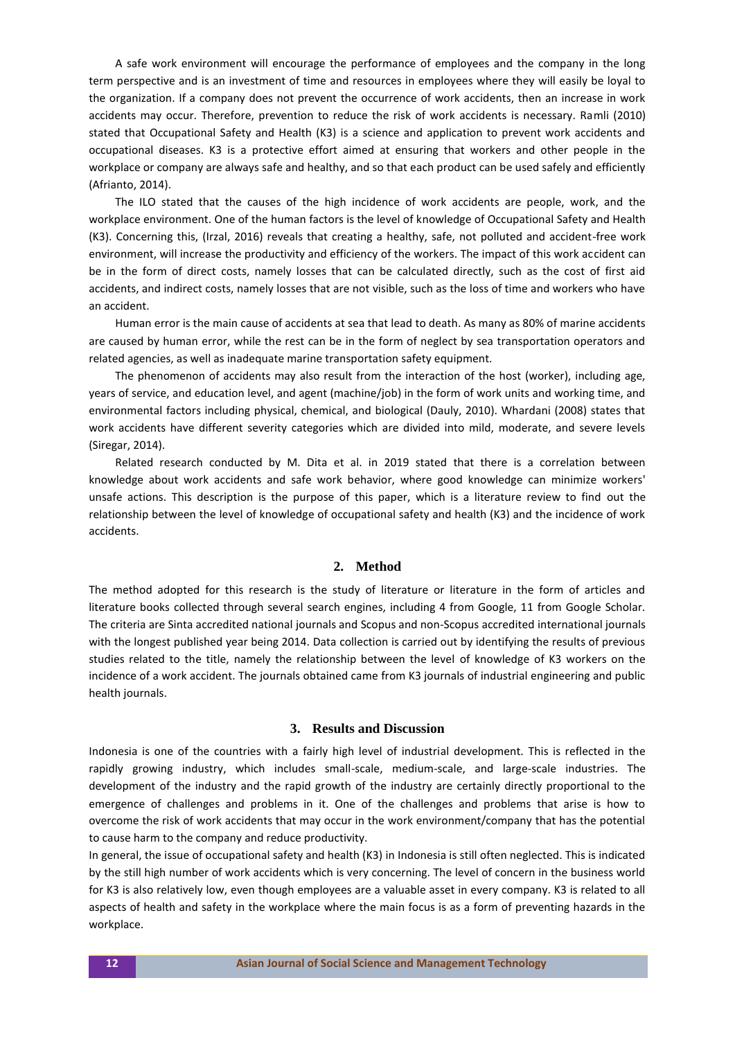A safe work environment will encourage the performance of employees and the company in the long term perspective and is an investment of time and resources in employees where they will easily be loyal to the organization. If a company does not prevent the occurrence of work accidents, then an increase in work accidents may occur. Therefore, prevention to reduce the risk of work accidents is necessary. Ramli (2010) stated that Occupational Safety and Health (K3) is a science and application to prevent work accidents and occupational diseases. K3 is a protective effort aimed at ensuring that workers and other people in the workplace or company are always safe and healthy, and so that each product can be used safely and efficiently (Afrianto, 2014).

The ILO stated that the causes of the high incidence of work accidents are people, work, and the workplace environment. One of the human factors is the level of knowledge of Occupational Safety and Health (K3). Concerning this, (Irzal, 2016) reveals that creating a healthy, safe, not polluted and accident-free work environment, will increase the productivity and efficiency of the workers. The impact of this work accident can be in the form of direct costs, namely losses that can be calculated directly, such as the cost of first aid accidents, and indirect costs, namely losses that are not visible, such as the loss of time and workers who have an accident.

Human error is the main cause of accidents at sea that lead to death. As many as 80% of marine accidents are caused by human error, while the rest can be in the form of neglect by sea transportation operators and related agencies, as well as inadequate marine transportation safety equipment.

The phenomenon of accidents may also result from the interaction of the host (worker), including age, years of service, and education level, and agent (machine/job) in the form of work units and working time, and environmental factors including physical, chemical, and biological (Dauly, 2010). Whardani (2008) states that work accidents have different severity categories which are divided into mild, moderate, and severe levels (Siregar, 2014).

Related research conducted by M. Dita et al. in 2019 stated that there is a correlation between knowledge about work accidents and safe work behavior, where good knowledge can minimize workers' unsafe actions. This description is the purpose of this paper, which is a literature review to find out the relationship between the level of knowledge of occupational safety and health (K3) and the incidence of work accidents.

## **2. Method**

The method adopted for this research is the study of literature or literature in the form of articles and literature books collected through several search engines, including 4 from Google, 11 from Google Scholar. The criteria are Sinta accredited national journals and Scopus and non-Scopus accredited international journals with the longest published year being 2014. Data collection is carried out by identifying the results of previous studies related to the title, namely the relationship between the level of knowledge of K3 workers on the incidence of a work accident. The journals obtained came from K3 journals of industrial engineering and public health journals.

#### **3. Results and Discussion**

Indonesia is one of the countries with a fairly high level of industrial development. This is reflected in the rapidly growing industry, which includes small-scale, medium-scale, and large-scale industries. The development of the industry and the rapid growth of the industry are certainly directly proportional to the emergence of challenges and problems in it. One of the challenges and problems that arise is how to overcome the risk of work accidents that may occur in the work environment/company that has the potential to cause harm to the company and reduce productivity.

In general, the issue of occupational safety and health (K3) in Indonesia is still often neglected. This is indicated by the still high number of work accidents which is very concerning. The level of concern in the business world for K3 is also relatively low, even though employees are a valuable asset in every company. K3 is related to all aspects of health and safety in the workplace where the main focus is as a form of preventing hazards in the workplace.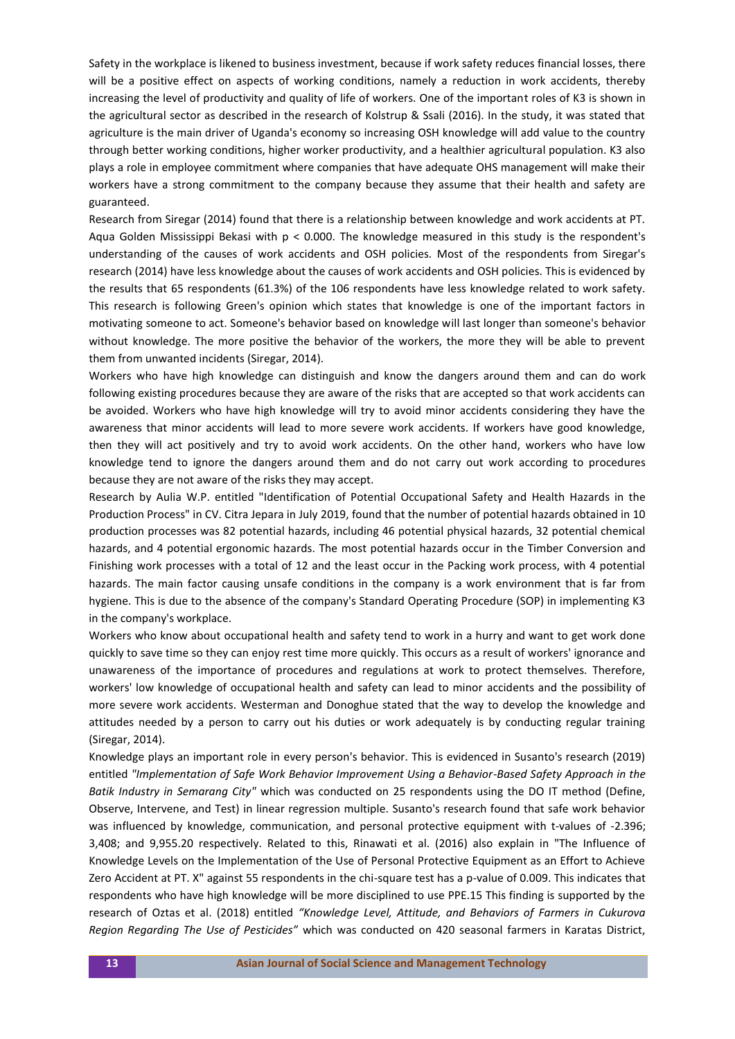Safety in the workplace is likened to business investment, because if work safety reduces financial losses, there will be a positive effect on aspects of working conditions, namely a reduction in work accidents, thereby increasing the level of productivity and quality of life of workers. One of the important roles of K3 is shown in the agricultural sector as described in the research of Kolstrup & Ssali (2016). In the study, it was stated that agriculture is the main driver of Uganda's economy so increasing OSH knowledge will add value to the country through better working conditions, higher worker productivity, and a healthier agricultural population. K3 also plays a role in employee commitment where companies that have adequate OHS management will make their workers have a strong commitment to the company because they assume that their health and safety are guaranteed.

Research from Siregar (2014) found that there is a relationship between knowledge and work accidents at PT. Aqua Golden Mississippi Bekasi with p < 0.000. The knowledge measured in this study is the respondent's understanding of the causes of work accidents and OSH policies. Most of the respondents from Siregar's research (2014) have less knowledge about the causes of work accidents and OSH policies. This is evidenced by the results that 65 respondents (61.3%) of the 106 respondents have less knowledge related to work safety. This research is following Green's opinion which states that knowledge is one of the important factors in motivating someone to act. Someone's behavior based on knowledge will last longer than someone's behavior without knowledge. The more positive the behavior of the workers, the more they will be able to prevent them from unwanted incidents (Siregar, 2014).

Workers who have high knowledge can distinguish and know the dangers around them and can do work following existing procedures because they are aware of the risks that are accepted so that work accidents can be avoided. Workers who have high knowledge will try to avoid minor accidents considering they have the awareness that minor accidents will lead to more severe work accidents. If workers have good knowledge, then they will act positively and try to avoid work accidents. On the other hand, workers who have low knowledge tend to ignore the dangers around them and do not carry out work according to procedures because they are not aware of the risks they may accept.

Research by Aulia W.P. entitled "Identification of Potential Occupational Safety and Health Hazards in the Production Process" in CV. Citra Jepara in July 2019, found that the number of potential hazards obtained in 10 production processes was 82 potential hazards, including 46 potential physical hazards, 32 potential chemical hazards, and 4 potential ergonomic hazards. The most potential hazards occur in the Timber Conversion and Finishing work processes with a total of 12 and the least occur in the Packing work process, with 4 potential hazards. The main factor causing unsafe conditions in the company is a work environment that is far from hygiene. This is due to the absence of the company's Standard Operating Procedure (SOP) in implementing K3 in the company's workplace.

Workers who know about occupational health and safety tend to work in a hurry and want to get work done quickly to save time so they can enjoy rest time more quickly. This occurs as a result of workers' ignorance and unawareness of the importance of procedures and regulations at work to protect themselves. Therefore, workers' low knowledge of occupational health and safety can lead to minor accidents and the possibility of more severe work accidents. Westerman and Donoghue stated that the way to develop the knowledge and attitudes needed by a person to carry out his duties or work adequately is by conducting regular training (Siregar, 2014).

Knowledge plays an important role in every person's behavior. This is evidenced in Susanto's research (2019) entitled *"Implementation of Safe Work Behavior Improvement Using a Behavior-Based Safety Approach in the Batik Industry in Semarang City"* which was conducted on 25 respondents using the DO IT method (Define, Observe, Intervene, and Test) in linear regression multiple. Susanto's research found that safe work behavior was influenced by knowledge, communication, and personal protective equipment with t-values of -2.396; 3,408; and 9,955.20 respectively. Related to this, Rinawati et al. (2016) also explain in "The Influence of Knowledge Levels on the Implementation of the Use of Personal Protective Equipment as an Effort to Achieve Zero Accident at PT. X" against 55 respondents in the chi-square test has a p-value of 0.009. This indicates that respondents who have high knowledge will be more disciplined to use PPE.15 This finding is supported by the research of Oztas et al. (2018) entitled *"Knowledge Level, Attitude, and Behaviors of Farmers in Cukurova Region Regarding The Use of Pesticides"* which was conducted on 420 seasonal farmers in Karatas District,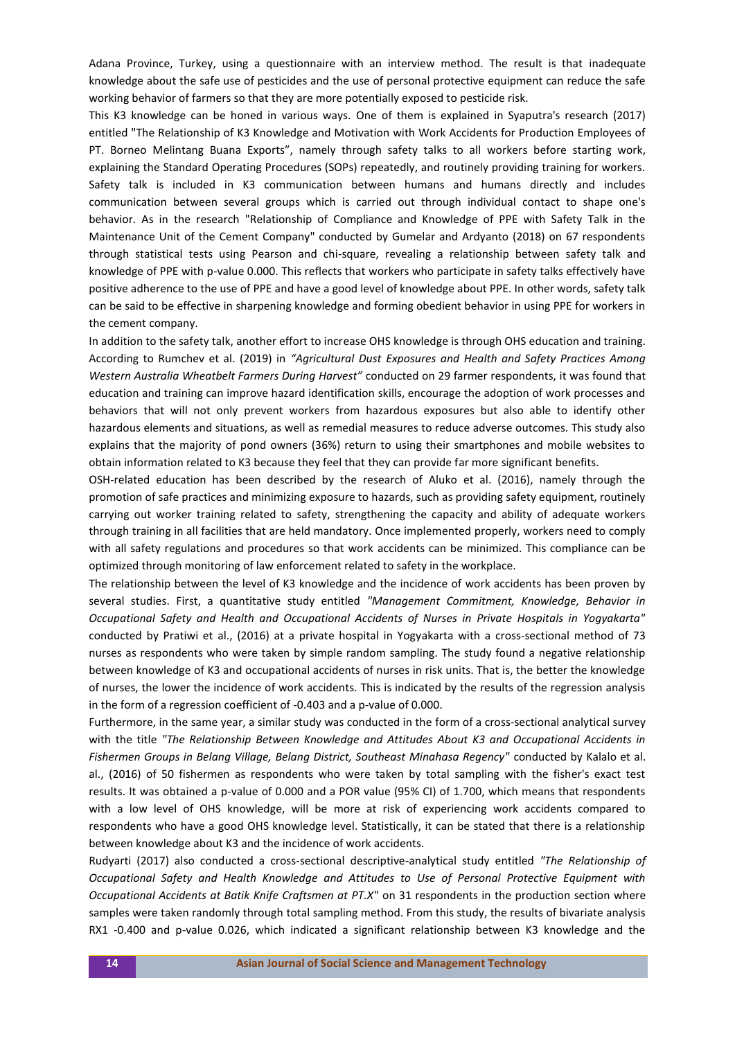Adana Province, Turkey, using a questionnaire with an interview method. The result is that inadequate knowledge about the safe use of pesticides and the use of personal protective equipment can reduce the safe working behavior of farmers so that they are more potentially exposed to pesticide risk.

This K3 knowledge can be honed in various ways. One of them is explained in Syaputra's research (2017) entitled "The Relationship of K3 Knowledge and Motivation with Work Accidents for Production Employees of PT. Borneo Melintang Buana Exports", namely through safety talks to all workers before starting work, explaining the Standard Operating Procedures (SOPs) repeatedly, and routinely providing training for workers. Safety talk is included in K3 communication between humans and humans directly and includes communication between several groups which is carried out through individual contact to shape one's behavior. As in the research "Relationship of Compliance and Knowledge of PPE with Safety Talk in the Maintenance Unit of the Cement Company" conducted by Gumelar and Ardyanto (2018) on 67 respondents through statistical tests using Pearson and chi-square, revealing a relationship between safety talk and knowledge of PPE with p-value 0.000. This reflects that workers who participate in safety talks effectively have positive adherence to the use of PPE and have a good level of knowledge about PPE. In other words, safety talk can be said to be effective in sharpening knowledge and forming obedient behavior in using PPE for workers in the cement company.

In addition to the safety talk, another effort to increase OHS knowledge is through OHS education and training. According to Rumchev et al. (2019) in *"Agricultural Dust Exposures and Health and Safety Practices Among Western Australia Wheatbelt Farmers During Harvest"* conducted on 29 farmer respondents, it was found that education and training can improve hazard identification skills, encourage the adoption of work processes and behaviors that will not only prevent workers from hazardous exposures but also able to identify other hazardous elements and situations, as well as remedial measures to reduce adverse outcomes. This study also explains that the majority of pond owners (36%) return to using their smartphones and mobile websites to obtain information related to K3 because they feel that they can provide far more significant benefits.

OSH-related education has been described by the research of Aluko et al. (2016), namely through the promotion of safe practices and minimizing exposure to hazards, such as providing safety equipment, routinely carrying out worker training related to safety, strengthening the capacity and ability of adequate workers through training in all facilities that are held mandatory. Once implemented properly, workers need to comply with all safety regulations and procedures so that work accidents can be minimized. This compliance can be optimized through monitoring of law enforcement related to safety in the workplace.

The relationship between the level of K3 knowledge and the incidence of work accidents has been proven by several studies. First, a quantitative study entitled *"Management Commitment, Knowledge, Behavior in Occupational Safety and Health and Occupational Accidents of Nurses in Private Hospitals in Yogyakarta"*  conducted by Pratiwi et al., (2016) at a private hospital in Yogyakarta with a cross-sectional method of 73 nurses as respondents who were taken by simple random sampling. The study found a negative relationship between knowledge of K3 and occupational accidents of nurses in risk units. That is, the better the knowledge of nurses, the lower the incidence of work accidents. This is indicated by the results of the regression analysis in the form of a regression coefficient of -0.403 and a p-value of 0.000.

Furthermore, in the same year, a similar study was conducted in the form of a cross-sectional analytical survey with the title *"The Relationship Between Knowledge and Attitudes About K3 and Occupational Accidents in Fishermen Groups in Belang Village, Belang District, Southeast Minahasa Regency"* conducted by Kalalo et al. al., (2016) of 50 fishermen as respondents who were taken by total sampling with the fisher's exact test results. It was obtained a p-value of 0.000 and a POR value (95% CI) of 1.700, which means that respondents with a low level of OHS knowledge, will be more at risk of experiencing work accidents compared to respondents who have a good OHS knowledge level. Statistically, it can be stated that there is a relationship between knowledge about K3 and the incidence of work accidents.

Rudyarti (2017) also conducted a cross-sectional descriptive-analytical study entitled *"The Relationship of Occupational Safety and Health Knowledge and Attitudes to Use of Personal Protective Equipment with Occupational Accidents at Batik Knife Craftsmen at PT.X"* on 31 respondents in the production section where samples were taken randomly through total sampling method. From this study, the results of bivariate analysis RX1 -0.400 and p-value 0.026, which indicated a significant relationship between K3 knowledge and the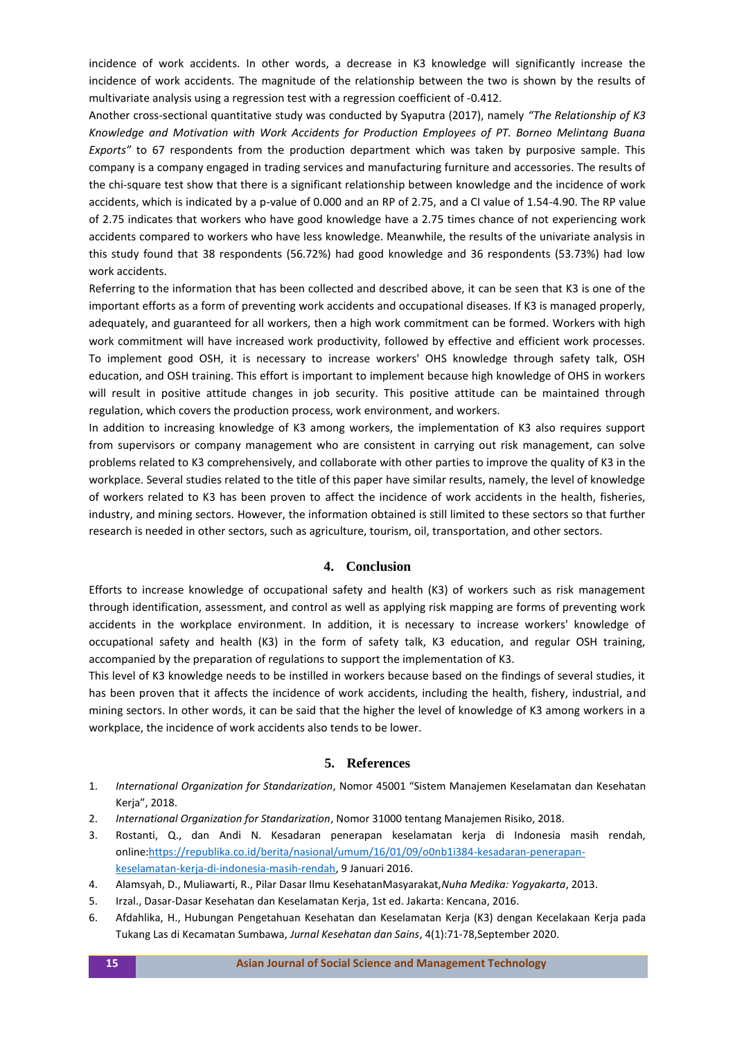incidence of work accidents. In other words, a decrease in K3 knowledge will significantly increase the incidence of work accidents. The magnitude of the relationship between the two is shown by the results of multivariate analysis using a regression test with a regression coefficient of -0.412.

Another cross-sectional quantitative study was conducted by Syaputra (2017), namely *"The Relationship of K3 Knowledge and Motivation with Work Accidents for Production Employees of PT. Borneo Melintang Buana Exports"* to 67 respondents from the production department which was taken by purposive sample. This company is a company engaged in trading services and manufacturing furniture and accessories. The results of the chi-square test show that there is a significant relationship between knowledge and the incidence of work accidents, which is indicated by a p-value of 0.000 and an RP of 2.75, and a CI value of 1.54-4.90. The RP value of 2.75 indicates that workers who have good knowledge have a 2.75 times chance of not experiencing work accidents compared to workers who have less knowledge. Meanwhile, the results of the univariate analysis in this study found that 38 respondents (56.72%) had good knowledge and 36 respondents (53.73%) had low work accidents.

Referring to the information that has been collected and described above, it can be seen that K3 is one of the important efforts as a form of preventing work accidents and occupational diseases. If K3 is managed properly, adequately, and guaranteed for all workers, then a high work commitment can be formed. Workers with high work commitment will have increased work productivity, followed by effective and efficient work processes. To implement good OSH, it is necessary to increase workers' OHS knowledge through safety talk, OSH education, and OSH training. This effort is important to implement because high knowledge of OHS in workers will result in positive attitude changes in job security. This positive attitude can be maintained through regulation, which covers the production process, work environment, and workers.

In addition to increasing knowledge of K3 among workers, the implementation of K3 also requires support from supervisors or company management who are consistent in carrying out risk management, can solve problems related to K3 comprehensively, and collaborate with other parties to improve the quality of K3 in the workplace. Several studies related to the title of this paper have similar results, namely, the level of knowledge of workers related to K3 has been proven to affect the incidence of work accidents in the health, fisheries, industry, and mining sectors. However, the information obtained is still limited to these sectors so that further research is needed in other sectors, such as agriculture, tourism, oil, transportation, and other sectors.

## **4. Conclusion**

Efforts to increase knowledge of occupational safety and health (K3) of workers such as risk management through identification, assessment, and control as well as applying risk mapping are forms of preventing work accidents in the workplace environment. In addition, it is necessary to increase workers' knowledge of occupational safety and health (K3) in the form of safety talk, K3 education, and regular OSH training, accompanied by the preparation of regulations to support the implementation of K3.

This level of K3 knowledge needs to be instilled in workers because based on the findings of several studies, it has been proven that it affects the incidence of work accidents, including the health, fishery, industrial, and mining sectors. In other words, it can be said that the higher the level of knowledge of K3 among workers in a workplace, the incidence of work accidents also tends to be lower.

#### **5. References**

- 1. *International Organization for Standarization*, Nomor 45001 "Sistem Manajemen Keselamatan dan Kesehatan Kerja", 2018.
- 2. *International Organization for Standarization*, Nomor 31000 tentang Manajemen Risiko, 2018.
- 3. Rostanti, Q., dan Andi N. Kesadaran penerapan keselamatan kerja di Indonesia masih rendah, onlin[e:https://republika.co.id/berita/nasional/umum/16/01/09/o0nb1i384-kesadaran-penerapan](https://republika.co.id/berita/nasional/umum/16/01/09/o0nb1i384-kesadaran-penerapan-keselamatan-kerja-di-indonesia-masih-rendah)[keselamatan-kerja-di-indonesia-masih-rendah,](https://republika.co.id/berita/nasional/umum/16/01/09/o0nb1i384-kesadaran-penerapan-keselamatan-kerja-di-indonesia-masih-rendah) 9 Januari 2016.
- 4. Alamsyah, D., Muliawarti, R., Pilar Dasar Ilmu KesehatanMasyarakat,*Nuha Medika: Yogyakarta*, 2013.
- 5. Irzal., Dasar-Dasar Kesehatan dan Keselamatan Kerja, 1st ed. Jakarta: Kencana, 2016.
- 6. Afdahlika, H., Hubungan Pengetahuan Kesehatan dan Keselamatan Kerja (K3) dengan Kecelakaan Kerja pada Tukang Las di Kecamatan Sumbawa, *Jurnal Kesehatan dan Sains*, 4(1):71-78,September 2020.